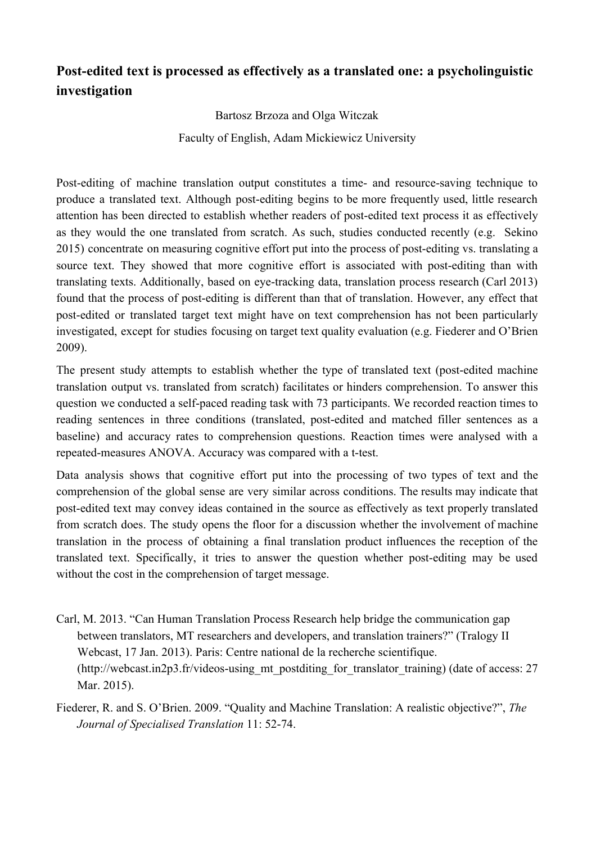## **Postedited text is processed as effectively as a translated one: a psycholinguistic investigation**

Bartosz Brzoza and Olga Witczak

Faculty of English, Adam Mickiewicz University

Post-editing of machine translation output constitutes a time- and resource-saving technique to produce a translated text. Although postediting begins to be more frequently used, little research attention has been directed to establish whether readers of postedited text process it as effectively as they would the one translated from scratch. As such, studies conducted recently (e.g. Sekino 2015) concentrate on measuring cognitive effort put into the process of postediting vs. translating a source text. They showed that more cognitive effort is associated with post-editing than with translating texts. Additionally, based on eye-tracking data, translation process research (Carl 2013) found that the process of post-editing is different than that of translation. However, any effect that postedited or translated target text might have on text comprehension has not been particularly investigated, except for studies focusing on target text quality evaluation (e.g. Fiederer and O'Brien 2009).

The present study attempts to establish whether the type of translated text (post-edited machine translation output vs. translated from scratch) facilitates or hinders comprehension. To answer this question we conducted a self-paced reading task with 73 participants. We recorded reaction times to reading sentences in three conditions (translated, post-edited and matched filler sentences as a baseline) and accuracy rates to comprehension questions. Reaction times were analysed with a repeated-measures ANOVA. Accuracy was compared with a t-test.

Data analysis shows that cognitive effort put into the processing of two types of text and the comprehension of the global sense are very similar across conditions. The results may indicate that post-edited text may convey ideas contained in the source as effectively as text properly translated from scratch does. The study opens the floor for a discussion whether the involvement of machine translation in the process of obtaining a final translation product influences the reception of the translated text. Specifically, it tries to answer the question whether postediting may be used without the cost in the comprehension of target message.

Carl, M. 2013. "Can Human Translation Process Research help bridge the communication gap between translators, MT researchers and developers, and translation trainers?" (Tralogy II Webcast, 17 Jan. 2013). Paris: Centre national de la recherche scientifique.  $(\text{http://webcast.in2p3.fr/video-susing}$  mt postditing for translator training) (date of access: 27 Mar. 2015).

Fiederer, R. and S. O'Brien. 2009. "Quality and Machine Translation: A realistic objective?", *The Journal of Specialised Translation* 11: 52-74.